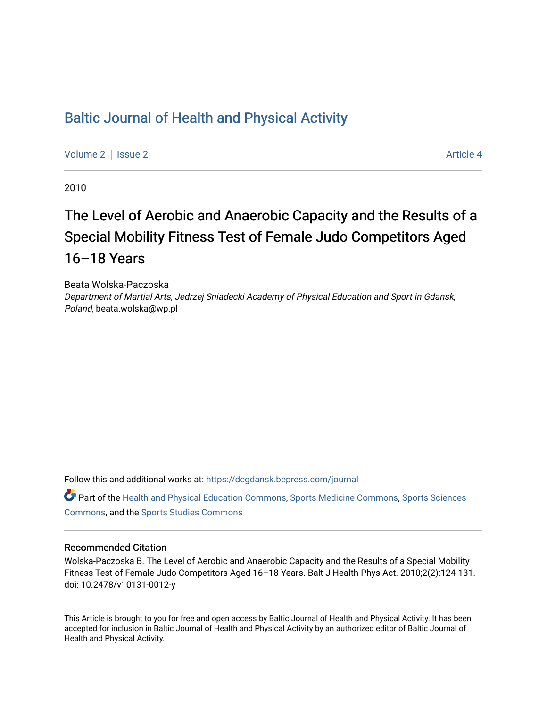## [Baltic Journal of Health and Physical Activity](https://dcgdansk.bepress.com/journal)

[Volume 2](https://dcgdansk.bepress.com/journal/vol2) | [Issue 2](https://dcgdansk.bepress.com/journal/vol2/iss2) Article 4

2010

# The Level of Aerobic and Anaerobic Capacity and the Results of a Special Mobility Fitness Test of Female Judo Competitors Aged 16–18 Years

Beata Wolska-Paczoska Department of Martial Arts, Jedrzej Sniadecki Academy of Physical Education and Sport in Gdansk, Poland, beata.wolska@wp.pl

Follow this and additional works at: [https://dcgdansk.bepress.com/journal](https://dcgdansk.bepress.com/journal?utm_source=dcgdansk.bepress.com%2Fjournal%2Fvol2%2Fiss2%2F4&utm_medium=PDF&utm_campaign=PDFCoverPages)

Part of the [Health and Physical Education Commons](http://network.bepress.com/hgg/discipline/1327?utm_source=dcgdansk.bepress.com%2Fjournal%2Fvol2%2Fiss2%2F4&utm_medium=PDF&utm_campaign=PDFCoverPages), [Sports Medicine Commons,](http://network.bepress.com/hgg/discipline/1331?utm_source=dcgdansk.bepress.com%2Fjournal%2Fvol2%2Fiss2%2F4&utm_medium=PDF&utm_campaign=PDFCoverPages) [Sports Sciences](http://network.bepress.com/hgg/discipline/759?utm_source=dcgdansk.bepress.com%2Fjournal%2Fvol2%2Fiss2%2F4&utm_medium=PDF&utm_campaign=PDFCoverPages) [Commons](http://network.bepress.com/hgg/discipline/759?utm_source=dcgdansk.bepress.com%2Fjournal%2Fvol2%2Fiss2%2F4&utm_medium=PDF&utm_campaign=PDFCoverPages), and the [Sports Studies Commons](http://network.bepress.com/hgg/discipline/1198?utm_source=dcgdansk.bepress.com%2Fjournal%2Fvol2%2Fiss2%2F4&utm_medium=PDF&utm_campaign=PDFCoverPages) 

#### Recommended Citation

Wolska-Paczoska B. The Level of Aerobic and Anaerobic Capacity and the Results of a Special Mobility Fitness Test of Female Judo Competitors Aged 16–18 Years. Balt J Health Phys Act. 2010;2(2):124-131. doi: 10.2478/v10131-0012-y

This Article is brought to you for free and open access by Baltic Journal of Health and Physical Activity. It has been accepted for inclusion in Baltic Journal of Health and Physical Activity by an authorized editor of Baltic Journal of Health and Physical Activity.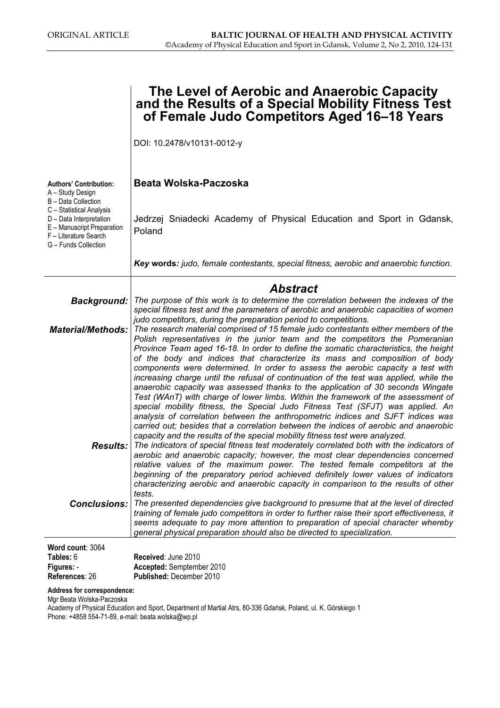|                                                                                                                                    | The Level of Aerobic and Anaerobic Capacity<br>and the Results of a Special Mobility Fitness Test<br>of Female Judo Competitors Aged 16-18 Years                                                                                                                                                                                                                                                                                                                                                                                                                                                                                                                                                                                                                                                                                                                                                                                                                                                                                                                                                                |
|------------------------------------------------------------------------------------------------------------------------------------|-----------------------------------------------------------------------------------------------------------------------------------------------------------------------------------------------------------------------------------------------------------------------------------------------------------------------------------------------------------------------------------------------------------------------------------------------------------------------------------------------------------------------------------------------------------------------------------------------------------------------------------------------------------------------------------------------------------------------------------------------------------------------------------------------------------------------------------------------------------------------------------------------------------------------------------------------------------------------------------------------------------------------------------------------------------------------------------------------------------------|
|                                                                                                                                    | DOI: 10.2478/v10131-0012-y                                                                                                                                                                                                                                                                                                                                                                                                                                                                                                                                                                                                                                                                                                                                                                                                                                                                                                                                                                                                                                                                                      |
| <b>Authors' Contribution:</b><br>A - Study Design<br>B - Data Collection                                                           | Beata Wolska-Paczoska                                                                                                                                                                                                                                                                                                                                                                                                                                                                                                                                                                                                                                                                                                                                                                                                                                                                                                                                                                                                                                                                                           |
| C - Statistical Analysis<br>D - Data Interpretation<br>E - Manuscript Preparation<br>F - Literature Search<br>G - Funds Collection | Jedrzej Sniadecki Academy of Physical Education and Sport in Gdansk,<br>Poland                                                                                                                                                                                                                                                                                                                                                                                                                                                                                                                                                                                                                                                                                                                                                                                                                                                                                                                                                                                                                                  |
|                                                                                                                                    | Key words: judo, female contestants, special fitness, aerobic and anaerobic function.                                                                                                                                                                                                                                                                                                                                                                                                                                                                                                                                                                                                                                                                                                                                                                                                                                                                                                                                                                                                                           |
|                                                                                                                                    | Abstract                                                                                                                                                                                                                                                                                                                                                                                                                                                                                                                                                                                                                                                                                                                                                                                                                                                                                                                                                                                                                                                                                                        |
| <b>Background:</b>                                                                                                                 | The purpose of this work is to determine the correlation between the indexes of the<br>special fitness test and the parameters of aerobic and anaerobic capacities of women                                                                                                                                                                                                                                                                                                                                                                                                                                                                                                                                                                                                                                                                                                                                                                                                                                                                                                                                     |
| <b>Material/Methods:</b>                                                                                                           | judo competitors, during the preparation period to competitions.<br>The research material comprised of 15 female judo contestants either members of the<br>Polish representatives in the junior team and the competitors the Pomeranian<br>Province Team aged 16-18. In order to define the somatic characteristics, the height<br>of the body and indices that characterize its mass and composition of body<br>components were determined. In order to assess the aerobic capacity a test with<br>increasing charge until the refusal of continuation of the test was applied, while the<br>anaerobic capacity was assessed thanks to the application of 30 seconds Wingate<br>Test (WAnT) with charge of lower limbs. Within the framework of the assessment of<br>special mobility fitness, the Special Judo Fitness Test (SFJT) was applied. An<br>analysis of correlation between the anthropometric indices and SJFT indices was<br>carried out; besides that a correlation between the indices of aerobic and anaerobic<br>capacity and the results of the special mobility fitness test were analyzed. |
| <b>Results:</b>                                                                                                                    | The indicators of special fitness test moderately correlated both with the indicators of<br>aerobic and anaerobic capacity; however, the most clear dependencies concerned<br>relative values of the maximum power. The tested female competitors at the<br>beginning of the preparatory period achieved definitely lower values of indicators<br>characterizing aerobic and anaerobic capacity in comparison to the results of other<br>tests.                                                                                                                                                                                                                                                                                                                                                                                                                                                                                                                                                                                                                                                                 |
| <b>Conclusions:</b>                                                                                                                | The presented dependencies give background to presume that at the level of directed<br>training of female judo competitors in order to further raise their sport effectiveness, it<br>seems adequate to pay more attention to preparation of special character whereby<br>general physical preparation should also be directed to specialization.                                                                                                                                                                                                                                                                                                                                                                                                                                                                                                                                                                                                                                                                                                                                                               |
| Word count: 3064                                                                                                                   |                                                                                                                                                                                                                                                                                                                                                                                                                                                                                                                                                                                                                                                                                                                                                                                                                                                                                                                                                                                                                                                                                                                 |
| Tables: 6<br>Figures: -                                                                                                            | Received: June 2010<br>Accepted: Semptember 2010                                                                                                                                                                                                                                                                                                                                                                                                                                                                                                                                                                                                                                                                                                                                                                                                                                                                                                                                                                                                                                                                |

References: 26 Published: December 2010

Address for correspondence:

Mgr Beata Wolska-Paczoska

Academy of Physical Education and Sport, Department of Martial Atrs, 80-336 Gdańsk, Poland, ul. K. Górskiego 1 Phone: +4858 554-71-89, e-mail: beata.wolska@wp.pl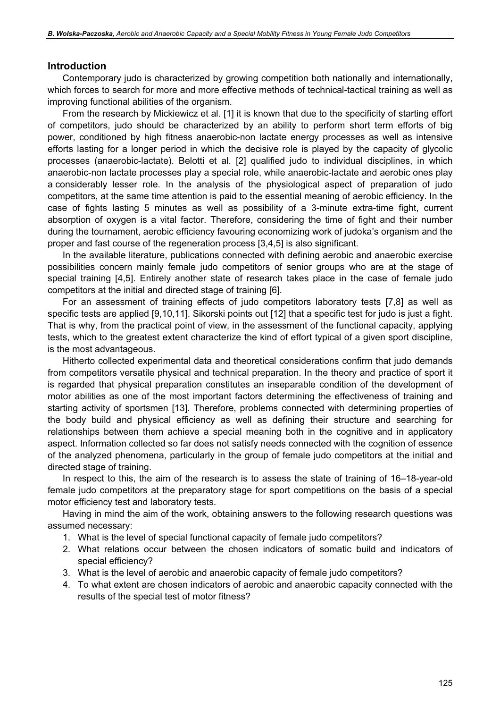#### Introduction

Contemporary judo is characterized by growing competition both nationally and internationally, which forces to search for more and more effective methods of technical-tactical training as well as improving functional abilities of the organism.

From the research by Mickiewicz et al. [1] it is known that due to the specificity of starting effort of competitors, judo should be characterized by an ability to perform short term efforts of big power, conditioned by high fitness anaerobic-non lactate energy processes as well as intensive efforts lasting for a longer period in which the decisive role is played by the capacity of glycolic processes (anaerobic-lactate). Belotti et al. [2] qualified judo to individual disciplines, in which anaerobic-non lactate processes play a special role, while anaerobic-lactate and aerobic ones play a considerably lesser role. In the analysis of the physiological aspect of preparation of judo competitors, at the same time attention is paid to the essential meaning of aerobic efficiency. In the case of fights lasting 5 minutes as well as possibility of a 3-minute extra-time fight, current absorption of oxygen is a vital factor. Therefore, considering the time of fight and their number during the tournament, aerobic efficiency favouring economizing work of judoka's organism and the proper and fast course of the regeneration process [3,4,5] is also significant.

In the available literature, publications connected with defining aerobic and anaerobic exercise possibilities concern mainly female judo competitors of senior groups who are at the stage of special training [4,5]. Entirely another state of research takes place in the case of female judo competitors at the initial and directed stage of training [6].

For an assessment of training effects of judo competitors laboratory tests [7,8] as well as specific tests are applied [9,10,11]. Sikorski points out [12] that a specific test for judo is just a fight. That is why, from the practical point of view, in the assessment of the functional capacity, applying tests, which to the greatest extent characterize the kind of effort typical of a given sport discipline, is the most advantageous.

Hitherto collected experimental data and theoretical considerations confirm that judo demands from competitors versatile physical and technical preparation. In the theory and practice of sport it is regarded that physical preparation constitutes an inseparable condition of the development of motor abilities as one of the most important factors determining the effectiveness of training and starting activity of sportsmen [13]. Therefore, problems connected with determining properties of the body build and physical efficiency as well as defining their structure and searching for relationships between them achieve a special meaning both in the cognitive and in applicatory aspect. Information collected so far does not satisfy needs connected with the cognition of essence of the analyzed phenomena, particularly in the group of female judo competitors at the initial and directed stage of training.

In respect to this, the aim of the research is to assess the state of training of 16–18-year-old female judo competitors at the preparatory stage for sport competitions on the basis of a special motor efficiency test and laboratory tests.

Having in mind the aim of the work, obtaining answers to the following research questions was assumed necessary:

- 1. What is the level of special functional capacity of female judo competitors?
- 2. What relations occur between the chosen indicators of somatic build and indicators of special efficiency?
- 3. What is the level of aerobic and anaerobic capacity of female judo competitors?
- 4. To what extent are chosen indicators of aerobic and anaerobic capacity connected with the results of the special test of motor fitness?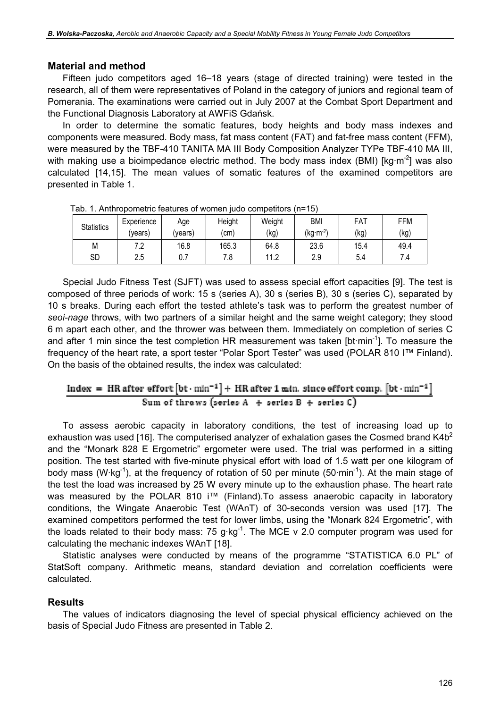#### Material and method

Fifteen judo competitors aged 16–18 years (stage of directed training) were tested in the research, all of them were representatives of Poland in the category of juniors and regional team of Pomerania. The examinations were carried out in July 2007 at the Combat Sport Department and the Functional Diagnosis Laboratory at AWFiS Gdańsk.

In order to determine the somatic features, body heights and body mass indexes and components were measured. Body mass, fat mass content (FAT) and fat-free mass content (FFM), were measured by the TBF-410 TANITA MA III Body Composition Analyzer TYPe TBF-410 MA III, with making use a bioimpedance electric method. The body mass index (BMI) [ $kg·m<sup>-2</sup>$ ] was also calculated [14,15]. The mean values of somatic features of the examined competitors are presented in Table 1.

| <b>Statistics</b> | Experience | Age     | Height | Weight | BMI        | FAT  | <b>FFM</b> |
|-------------------|------------|---------|--------|--------|------------|------|------------|
|                   | (vears)    | (vears) | (cm)   | (kg)   | $(kg·m-2)$ | (kg) | (kg)       |
| M                 | ה ד<br>ے.  | 16.8    | 165.3  | 64.8   | 23.6       | 15.4 | 49.4       |
| SD                | 2.5        | 0.7     | 7.8    | 11.2   | 2.9        | 5.4  | 7.4        |

Tab. 1. Anthropometric features of women judo competitors (n=15)

Special Judo Fitness Test (SJFT) was used to assess special effort capacities [9]. The test is composed of three periods of work: 15 s (series A), 30 s (series B), 30 s (series C), separated by 10 s breaks. During each effort the tested athlete's task was to perform the greatest number of seoi-nage throws, with two partners of a similar height and the same weight category; they stood 6 m apart each other, and the thrower was between them. Immediately on completion of series C and after 1 min since the test completion HR measurement was taken [bt·min<sup>-1</sup>]. To measure the frequency of the heart rate, a sport tester "Polar Sport Tester" was used (POLAR 810 I™ Finland). On the basis of the obtained results, the index was calculated:

### Index = HR after effort  $[bt \cdot min^{-1}] + HR$  after 1 min. since effort comp.  $[bt \cdot min^{-1}]$ Sum of throws (series  $A +$  series  $B +$  series  $C$ )

To assess aerobic capacity in laboratory conditions, the test of increasing load up to exhaustion was used [16]. The computerised analyzer of exhalation gases the Cosmed brand K4b<sup>2</sup> and the "Monark 828 E Ergometric" ergometer were used. The trial was performed in a sitting position. The test started with five-minute physical effort with load of 1.5 watt per one kilogram of body mass (W·kg<sup>-1</sup>), at the frequency of rotation of 50 per minute (50 $\cdot$ min<sup>-1</sup>). At the main stage of the test the load was increased by 25 W every minute up to the exhaustion phase. The heart rate was measured by the POLAR 810 i<sup>™</sup> (Finland). To assess anaerobic capacity in laboratory conditions, the Wingate Anaerobic Test (WAnT) of 30-seconds version was used [17]. The examined competitors performed the test for lower limbs, using the "Monark 824 Ergometric", with the loads related to their body mass: 75 g·kg<sup>-1</sup>. The MCE v 2.0 computer program was used for calculating the mechanic indexes WAnT [18].

Statistic analyses were conducted by means of the programme "STATISTICA 6.0 PL" of StatSoft company. Arithmetic means, standard deviation and correlation coefficients were calculated.

#### Results

The values of indicators diagnosing the level of special physical efficiency achieved on the basis of Special Judo Fitness are presented in Table 2.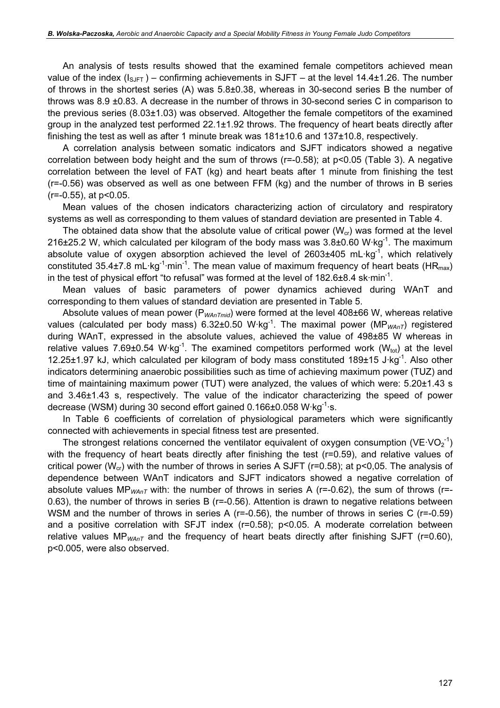An analysis of tests results showed that the examined female competitors achieved mean value of the index  $(I_{S\cup FT})$  – confirming achievements in SJFT – at the level 14.4±1.26. The number of throws in the shortest series (A) was 5.8±0.38, whereas in 30-second series B the number of throws was 8.9 ±0.83. A decrease in the number of throws in 30-second series C in comparison to the previous series (8.03±1.03) was observed. Altogether the female competitors of the examined group in the analyzed test performed 22.1±1.92 throws. The frequency of heart beats directly after finishing the test as well as after 1 minute break was 181±10.6 and 137±10.8, respectively.

A correlation analysis between somatic indicators and SJFT indicators showed a negative correlation between body height and the sum of throws (r=-0.58); at p<0.05 (Table 3). A negative correlation between the level of FAT (kg) and heart beats after 1 minute from finishing the test (r=-0.56) was observed as well as one between FFM (kg) and the number of throws in B series (r=-0.55), at p<0.05.

Mean values of the chosen indicators characterizing action of circulatory and respiratory systems as well as corresponding to them values of standard deviation are presented in Table 4.

The obtained data show that the absolute value of critical power ( $W_{cr}$ ) was formed at the level 216 $\pm$ 25.2 W, which calculated per kilogram of the body mass was 3.8 $\pm$ 0.60 W·kg<sup>-1</sup>. The maximum absolute value of oxygen absorption achieved the level of  $2603\pm405$  mL·kg<sup>-1</sup>, which relatively constituted 35.4±7.8 mL·kg<sup>-1</sup>·min<sup>-1</sup>. The mean value of maximum frequency of heart beats (HR<sub>max</sub>) in the test of physical effort "to refusal" was formed at the level of  $182.6\pm8.4$  sk·min<sup>-1</sup>.

Mean values of basic parameters of power dynamics achieved during WAnT and corresponding to them values of standard deviation are presented in Table 5.

Absolute values of mean power ( $P_{WAnTmid}$ ) were formed at the level 408 $\pm$ 66 W, whereas relative values (calculated per body mass) 6.32±0.50 W·kg<sup>-1</sup>. The maximal power (MP<sub>WAnT</sub>) registered during WAnT, expressed in the absolute values, achieved the value of 498±85 W whereas in relative values 7.69 $\pm$ 0.54 W·kg<sup>-1</sup>. The examined competitors performed work (W<sub>tot</sub>) at the level 12.25±1.97 kJ, which calculated per kilogram of body mass constituted 189±15 J·kg-1. Also other indicators determining anaerobic possibilities such as time of achieving maximum power (TUZ) and time of maintaining maximum power (TUT) were analyzed, the values of which were: 5.20±1.43 s and 3.46±1.43 s, respectively. The value of the indicator characterizing the speed of power decrease (WSM) during 30 second effort gained 0.166±0.058 W·kg<sup>-1</sup>·s.

In Table 6 coefficients of correlation of physiological parameters which were significantly connected with achievements in special fitness test are presented.

The strongest relations concerned the ventilator equivalent of oxygen consumption (VE·VO<sub>2</sub><sup>-1</sup>) with the frequency of heart beats directly after finishing the test (r=0.59), and relative values of critical power ( $W_{cr}$ ) with the number of throws in series A SJFT (r=0.58); at p<0,05. The analysis of dependence between WAnT indicators and SJFT indicators showed a negative correlation of absolute values MP<sub>WAnT</sub> with: the number of throws in series A (r=-0.62), the sum of throws (r=-0.63), the number of throws in series B (r=-0.56). Attention is drawn to negative relations between WSM and the number of throws in series A (r=-0.56), the number of throws in series C (r=-0.59) and a positive correlation with SFJT index (r=0.58); p<0.05. A moderate correlation between relative values  $MP_{WAnT}$  and the frequency of heart beats directly after finishing SJFT (r=0.60), p<0.005, were also observed.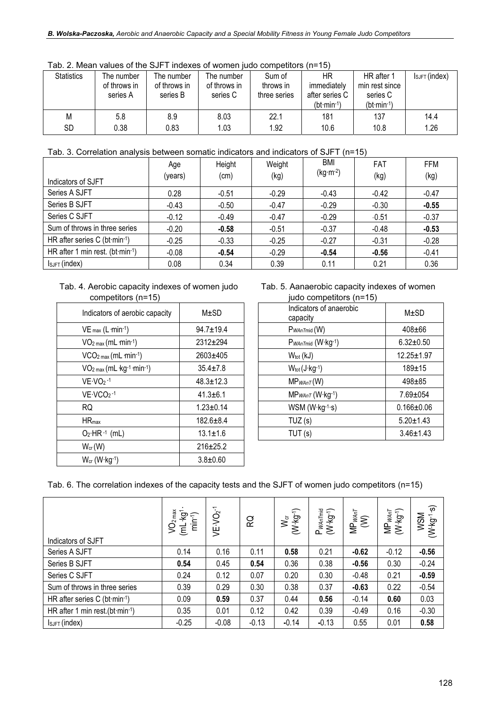| <u>au. 2. Micali values ULTIC OU TEINGAES UL WUITIGH IUUU CUITIDEIILUI SITTETU</u> |              |              |              |              |                |                |                    |  |
|------------------------------------------------------------------------------------|--------------|--------------|--------------|--------------|----------------|----------------|--------------------|--|
| <b>Statistics</b>                                                                  | The number   | The number   | The number   | Sum of       | ΗR             | HR after 1     | $I_{SJFT}$ (index) |  |
|                                                                                    | of throws in | of throws in | of throws in | throws in    | immediately    | min rest since |                    |  |
|                                                                                    | series A     | series B     | series C     | three series | after series C | series C       |                    |  |
|                                                                                    |              |              |              |              | $(bt·min-1)$   | $(bt·min-1)$   |                    |  |
| M                                                                                  | 5.8          | 8.9          | 8.03         | 22.1         | 181            | 137            | 14.4               |  |
| SD                                                                                 | 0.38         | 0.83         | 1.03         | 1.92         | 10.6           | 10.8           | 1.26               |  |

Tab. 2. Mean values of the SJFT indexes of women judo competitors  $(n=15)$ 

#### Tab. 3. Correlation analysis between somatic indicators and indicators of SJFT (n=15)

|                                 | Age     | Height  | Weight  | BMI        | <b>FAT</b> | FFM     |
|---------------------------------|---------|---------|---------|------------|------------|---------|
| Indicators of SJFT              | (years) | (cm)    | (kg)    | $(kg·m-2)$ | (kg)       | (kg)    |
| Series A SJFT                   | 0.28    | $-0.51$ | $-0.29$ | $-0.43$    | $-0.42$    | $-0.47$ |
| Series B SJFT                   | $-0.43$ | $-0.50$ | $-0.47$ | $-0.29$    | $-0.30$    | $-0.55$ |
| Series C SJFT                   | $-0.12$ | $-0.49$ | $-0.47$ | $-0.29$    | $-0.51$    | $-0.37$ |
| Sum of throws in three series   | $-0.20$ | $-0.58$ | $-0.51$ | $-0.37$    | $-0.48$    | $-0.53$ |
| HR after series C (bt·min-1)    | $-0.25$ | $-0.33$ | $-0.25$ | $-0.27$    | $-0.31$    | $-0.28$ |
| HR after 1 min rest. (bt·min-1) | $-0.08$ | $-0.54$ | $-0.29$ | $-0.54$    | $-0.56$    | $-0.41$ |
| $I_{SJFT}$ (index)              | 0.08    | 0.34    | 0.39    | 0.11       | 0.21       | 0.36    |

#### Tab. 4. Aerobic capacity indexes of women judo competitors (n=15)

| Indicators of aerobic capacity | $M\pm SD$       | Indicators of anaerobic<br>capacity |
|--------------------------------|-----------------|-------------------------------------|
| $VE_{max}$ (L $min-1$ )        | $94.7 \pm 19.4$ | $P_{W\!A nTmid}(W)$                 |
| $VO2 max (mL·min-1)$           | 2312±294        | P <sub>WAnTmid</sub> (W·kg-1)       |
| $VCO2 max (mL·min-1)$          | 2603±405        | $W_{tot}$ ( $kJ$ )                  |
| $VO2 max (mL kg-1 min-1)$      | $35.4 \pm 7.8$  | $W_{tot}(J \cdot kg^{-1})$          |
| $VE\cdot VO_2 -1$              | $48.3 \pm 12.3$ | $MP_{WAnT}(W)$                      |
| $VE\cdot VCO_2-1$              | $41.3 \pm 6.1$  | $MP_{WAnT}$ (W $\cdot$ kg $-1$ )    |
| RQ.                            | $1.23 \pm 0.14$ | $WSM (W \cdot kg^{-1} \cdot s)$     |
| $HR_{max}$                     | $182.6 \pm 8.4$ | TUZ(s)                              |
| $O_2$ HR $-1$ (mL)             | $13.1 \pm 1.6$  | TUT(s)                              |
| $W_{cr}(W)$                    | 216±25.2        |                                     |
| $W_{cr}$ (W $kg-1$ )           | $3.8 \pm 0.60$  |                                     |

Tab. 5. Aanaerobic capacity indexes of women<br>inde compotitors (p=15) nditore (n=15)

| competitors (n=15)             |                 | iudo competitors (n=15)             |                  |
|--------------------------------|-----------------|-------------------------------------|------------------|
| Indicators of aerobic capacity | $M\pm SD$       | Indicators of anaerobic<br>capacity | M±SD             |
| $VE_{max} (L \cdot min^{-1})$  | 94.7±19.4       | $P_{W\!A nT mid}$ (W)               | $408 + 66$       |
| $VO2 max (mL·min-1)$           | 2312±294        | P <sub>WAnTmid</sub> (W·kg-1)       | $6.32 \pm 0.50$  |
| $VCO2 max (mL·min-1)$          | 2603±405        | $W_{\text{tot}}(kJ)$                | 12.25±1.97       |
| $VO2 max (mL kg-1·min-1)$      | $35.4 \pm 7.8$  | $W_{tot}(J \cdot kg^{-1})$          | $189 + 15$       |
| $VE\cdot VO2 -1$               | $48.3 \pm 12.3$ | $MP_{WAnT}(W)$                      | $498 + 85$       |
| $VE\cdot VCO2$ -1              | $41.3 \pm 6.1$  | $MP_{WAnT}$ (W·kg-1)                | 7.69±054         |
| RQ.                            | $1.23 \pm 0.14$ | WSM (W·kg-1·s)                      | $0.166 \pm 0.06$ |
| $HR_{max}$                     | $182.6 \pm 8.4$ | TUZ(s)                              | $5.20 \pm 1.43$  |
| $O_2$ ·HR· <sup>1</sup> (mL)   | $13.1 \pm 1.6$  | TUT(s)                              | $3.46 \pm 1.43$  |
|                                |                 |                                     |                  |

Tab. 6. The correlation indexes of the capacity tests and the SJFT of women judo competitors (n=15)

| Indicators of SJFT                              | VO <sub>2 max</sub><br>ļÓ.<br>€<br>Ë<br>$\overline{\epsilon}$ | VE·VO2 <sup>-1</sup> | ဥ       | $W_{\rm cr}$<br>(W-kg-1) | P <sub>WAn Tmid</sub><br>(W·kg <sup>-1</sup> ) | $MP_{WAT}$<br>(W) | $MP_{WAnT}$<br>(W-kg-1) | $\widehat{\boldsymbol{\omega}}$<br><b>MSM</b><br>$W-1$ |
|-------------------------------------------------|---------------------------------------------------------------|----------------------|---------|--------------------------|------------------------------------------------|-------------------|-------------------------|--------------------------------------------------------|
| Series A SJFT                                   | 0.14                                                          | 0.16                 | 0.11    | 0.58                     | 0.21                                           | $-0.62$           | $-0.12$                 | $-0.56$                                                |
| Series B SJFT                                   | 0.54                                                          | 0.45                 | 0.54    | 0.36                     | 0.38                                           | $-0.56$           | 0.30                    | $-0.24$                                                |
| Series C SJFT                                   | 0.24                                                          | 0.12                 | 0.07    | 0.20                     | 0.30                                           | $-0.48$           | 0.21                    | $-0.59$                                                |
| Sum of throws in three series                   | 0.39                                                          | 0.29                 | 0.30    | 0.38                     | 0.37                                           | $-0.63$           | 0.22                    | $-0.54$                                                |
| HR after series C (bt·min-1)                    | 0.09                                                          | 0.59                 | 0.37    | 0.44                     | 0.56                                           | $-0.14$           | 0.60                    | 0.03                                                   |
| HR after 1 min rest. (bt $\cdot$ min $\cdot$ 1) | 0.35                                                          | 0.01                 | 0.12    | 0.42                     | 0.39                                           | $-0.49$           | 0.16                    | $-0.30$                                                |
| $I_{SJFT}$ (index)                              | $-0.25$                                                       | $-0.08$              | $-0.13$ | $-0.14$                  | $-0.13$                                        | 0.55              | 0.01                    | 0.58                                                   |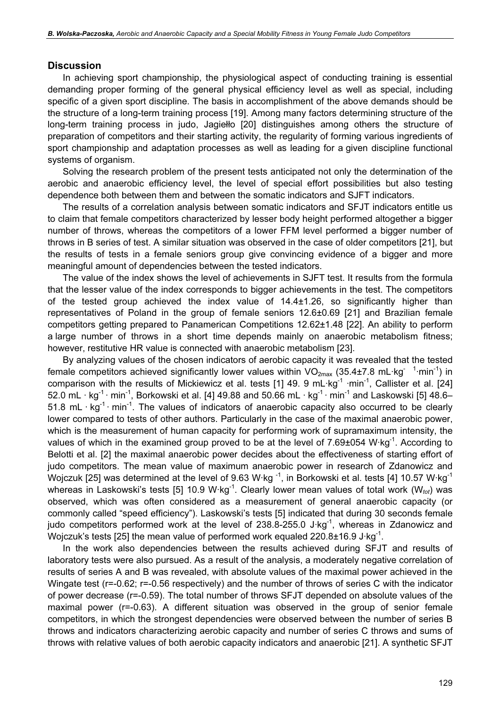#### **Discussion**

In achieving sport championship, the physiological aspect of conducting training is essential demanding proper forming of the general physical efficiency level as well as special, including specific of a given sport discipline. The basis in accomplishment of the above demands should be the structure of a long-term training process [19]. Among many factors determining structure of the long-term training process in judo, Jagiełło [20] distinguishes among others the structure of preparation of competitors and their starting activity, the regularity of forming various ingredients of sport championship and adaptation processes as well as leading for a given discipline functional systems of organism.

Solving the research problem of the present tests anticipated not only the determination of the aerobic and anaerobic efficiency level, the level of special effort possibilities but also testing dependence both between them and between the somatic indicators and SJFT indicators.

The results of a correlation analysis between somatic indicators and SFJT indicators entitle us to claim that female competitors characterized by lesser body height performed altogether a bigger number of throws, whereas the competitors of a lower FFM level performed a bigger number of throws in B series of test. A similar situation was observed in the case of older competitors [21], but the results of tests in a female seniors group give convincing evidence of a bigger and more meaningful amount of dependencies between the tested indicators.

The value of the index shows the level of achievements in SJFT test. It results from the formula that the lesser value of the index corresponds to bigger achievements in the test. The competitors of the tested group achieved the index value of 14.4±1.26, so significantly higher than representatives of Poland in the group of female seniors 12.6±0.69 [21] and Brazilian female competitors getting prepared to Panamerican Competitions 12.62±1.48 [22]. An ability to perform a large number of throws in a short time depends mainly on anaerobic metabolism fitness; however, restitutive HR value is connected with anaerobic metabolism [23].

By analyzing values of the chosen indicators of aerobic capacity it was revealed that the tested female competitors achieved significantly lower values within  $VO_{2max}$  (35.4±7.8 mL·kg<sup>-1</sup>·min<sup>-1</sup>) in comparison with the results of Mickiewicz et al. tests [1] 49. 9 mL·kg<sup>-1</sup> ·min<sup>-1</sup>, Callister et al. [24] 52.0 mL · kg<sup>-1</sup> · min<sup>-1</sup>, Borkowski et al. [4] 49.88 and 50.66 mL · kg<sup>-1</sup> · min<sup>-1</sup> and Laskowski [5] 48.6– 51.8 mL ·  $kg^{-1}$  · min<sup>-1</sup>. The values of indicators of anaerobic capacity also occurred to be clearly lower compared to tests of other authors. Particularly in the case of the maximal anaerobic power, which is the measurement of human capacity for performing work of supramaximum intensity, the values of which in the examined group proved to be at the level of 7.69±054 W·kg<sup>-1</sup>. According to Belotti et al. [2] the maximal anaerobic power decides about the effectiveness of starting effort of judo competitors. The mean value of maximum anaerobic power in research of Zdanowicz and Wojczuk [25] was determined at the level of 9.63 W·kg<sup>-1</sup>, in Borkowski et al. tests [4] 10.57 W·kg<sup>-1</sup> whereas in Laskowski's tests [5] 10.9 W·kg<sup>-1</sup>. Clearly lower mean values of total work ( $W_{tot}$ ) was observed, which was often considered as a measurement of general anaerobic capacity (or commonly called "speed efficiency"). Laskowski's tests [5] indicated that during 30 seconds female judo competitors performed work at the level of  $238.8-255.0$  J·kg<sup>-1</sup>, whereas in Zdanowicz and Wojczuk's tests [25] the mean value of performed work equaled  $220.8\pm16.9$  J·kg<sup>-1</sup>.

In the work also dependencies between the results achieved during SFJT and results of laboratory tests were also pursued. As a result of the analysis, a moderately negative correlation of results of series A and B was revealed, with absolute values of the maximal power achieved in the Wingate test (r=-0.62; r=-0.56 respectively) and the number of throws of series C with the indicator of power decrease (r=-0.59). The total number of throws SFJT depended on absolute values of the maximal power (r=-0.63). A different situation was observed in the group of senior female competitors, in which the strongest dependencies were observed between the number of series B throws and indicators characterizing aerobic capacity and number of series C throws and sums of throws with relative values of both aerobic capacity indicators and anaerobic [21]. A synthetic SFJT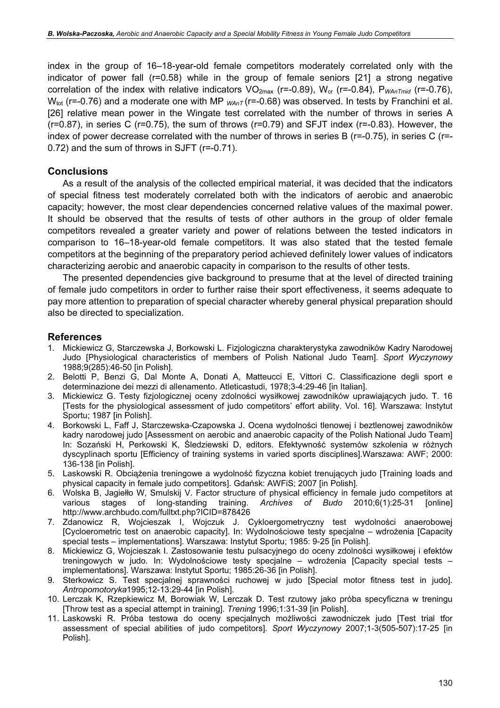index in the group of 16–18-year-old female competitors moderately correlated only with the indicator of power fall (r=0.58) while in the group of female seniors [21] a strong negative correlation of the index with relative indicators  $VO_{2max}$  (r=-0.89),  $W_{cr}$  (r=-0.84),  $P_{WAnTmid}$  (r=-0.76),  $W_{\text{tot}}$  (r=-0.76) and a moderate one with MP  $_{WAnT}$  (r=-0.68) was observed. In tests by Franchini et al. [26] relative mean power in the Wingate test correlated with the number of throws in series A (r=0.87), in series C (r=0.75), the sum of throws (r=0.79) and SFJT index (r=-0.83). However, the index of power decrease correlated with the number of throws in series B (r=-0.75), in series C (r=- 0.72) and the sum of throws in SJFT (r=-0.71).

#### **Conclusions**

As a result of the analysis of the collected empirical material, it was decided that the indicators of special fitness test moderately correlated both with the indicators of aerobic and anaerobic capacity; however, the most clear dependencies concerned relative values of the maximal power. It should be observed that the results of tests of other authors in the group of older female competitors revealed a greater variety and power of relations between the tested indicators in comparison to 16–18-year-old female competitors. It was also stated that the tested female competitors at the beginning of the preparatory period achieved definitely lower values of indicators characterizing aerobic and anaerobic capacity in comparison to the results of other tests.

The presented dependencies give background to presume that at the level of directed training of female judo competitors in order to further raise their sport effectiveness, it seems adequate to pay more attention to preparation of special character whereby general physical preparation should also be directed to specialization.

#### References

- 1. Mickiewicz G, Starczewska J, Borkowski L. Fizjologiczna charakterystyka zawodników Kadry Narodowej Judo [Physiological characteristics of members of Polish National Judo Team]. Sport Wyczynowy 1988;9(285):46-50 [in Polish].
- 2. Belotti P, Benzi G, Dal Monte A, Donati A, Matteucci E, Vittori C. Classificazione degli sport e determinazione dei mezzi di allenamento. Atleticastudi, 1978;3-4:29-46 [in Italian].
- 3. Mickiewicz G. Testy fizjologicznej oceny zdolności wysiłkowej zawodników uprawiających judo. T. 16 [Tests for the physiological assessment of judo competitors' effort ability. Vol. 16]. Warszawa: Instytut Sportu; 1987 [in Polish].
- 4. Borkowski L, Faff J, Starczewska-Czapowska J. Ocena wydolności tlenowej i beztlenowej zawodników kadry narodowej judo [Assessment on aerobic and anaerobic capacity of the Polish National Judo Team] In: Sozański H, Perkowski K, Śledziewski D, editors. Efektywność systemów szkolenia w różnych dyscyplinach sportu [Efficiency of training systems in varied sports disciplines].Warszawa: AWF; 2000: 136-138 [in Polish].
- 5. Laskowski R. Obciążenia treningowe a wydolność fizyczna kobiet trenujących judo [Training loads and physical capacity in female judo competitors]. Gdańsk: AWFiS; 2007 [in Polish].
- 6. Wolska B, Jagiełło W, Smulskij V. Factor structure of physical efficiency in female judo competitors at various stages of long-standing training. Archives of Budo 2010;6(1):25-31 [online] http://www.archbudo.com/fulltxt.php?ICID=878426
- 7. Zdanowicz R, Wojcieszak I, Wojczuk J. Cykloergometryczny test wydolności anaerobowej [Cycloerometric test on anaerobic capacity]. In: Wydolnościowe testy specjalne – wdrożenia [Capacity special tests – implementations]. Warszawa: Instytut Sportu; 1985: 9-25 [in Polish].
- 8. Mickiewicz G, Wojcieszak I. Zastosowanie testu pulsacyjnego do oceny zdolności wysiłkowej i efektów treningowych w judo. In: Wydolnościowe testy specjalne – wdrożenia [Capacity special tests – implementations]. Warszawa: Instytut Sportu; 1985:26-36 [in Polish].
- 9. Sterkowicz S. Test specjalnej sprawności ruchowej w judo [Special motor fitness test in judo]. Antropomotoryka1995;12-13:29-44 [in Polish].
- 10. Lerczak K, Rzepkiewicz M, Borowiak W, Lerczak D. Test rzutowy jako próba specyficzna w treningu [Throw test as a special attempt in training]. Trening 1996;1:31-39 [in Polish].
- 11. Laskowski R. Próba testowa do oceny specjalnych możliwości zawodniczek judo [Test trial tfor assessment of special abilities of judo competitors]. Sport Wyczynowy 2007;1-3(505-507):17-25 [in Polish].